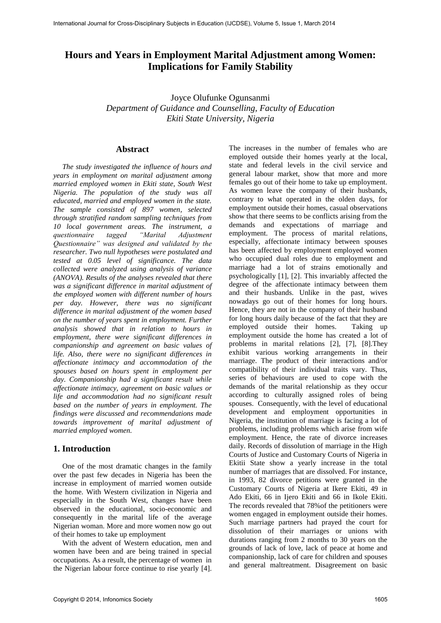# **Hours and Years in Employment Marital Adjustment among Women: Implications for Family Stability**

Joyce Olufunke Ogunsanmi *Department of Guidance and Counselling, Faculty of Education Ekiti State University, Nigeria* 

#### **Abstract**

*The study investigated the influence of hours and years in employment on marital adjustment among married employed women in Ekiti state, South West Nigeria. The population of the study was all educated, married and employed women in the state. The sample consisted of 897 women, selected through stratified random sampling techniques from 10 local government areas. The instrument, a questionnaire tagged "Marital Adjustment Questionnaire" was designed and validated by the researcher. Two null hypotheses were postulated and tested at 0.05 level of significance. The data collected were analyzed using analysis of variance (ANOVA). Results of the analyses revealed that there was a significant difference in marital adjustment of the employed women with different number of hours per day. However, there was no significant difference in marital adjustment of the women based on the number of years spent in employment. Further analysis showed that in relation to hours in employment, there were significant differences in companionship and agreement on basic values of life. Also, there were no significant differences in affectionate intimacy and accommodation of the spouses based on hours spent in employment per day. Companionship had a significant result while affectionate intimacy, agreement on basic values or life and accommodation had no significant result based on the number of years in employment. The findings were discussed and recommendations made towards improvement of marital adjustment of married employed women.* 

### **1. Introduction**

One of the most dramatic changes in the family over the past few decades in Nigeria has been the increase in employment of married women outside the home. With Western civilization in Nigeria and especially in the South West, changes have been observed in the educational, socio-economic and consequently in the marital life of the average Nigerian woman. More and more women now go out of their homes to take up employment

With the advent of Western education, men and women have been and are being trained in special occupations. As a result, the percentage of women in the Nigerian labour force continue to rise yearly [4].

The increases in the number of females who are employed outside their homes yearly at the local, state and federal levels in the civil service and general labour market, show that more and more females go out of their home to take up employment. As women leave the company of their husbands, contrary to what operated in the olden days, for employment outside their homes, casual observations show that there seems to be conflicts arising from the demands and expectations of marriage and employment. The process of marital relations, especially, affectionate intimacy between spouses has been affected by employment employed women who occupied dual roles due to employment and marriage had a lot of strains emotionally and psychologically [1], [2]. This invariably affected the degree of the affectionate intimacy between them and their husbands. Unlike in the past, wives nowadays go out of their homes for long hours. Hence, they are not in the company of their husband for long hours daily because of the fact that they are employed outside their homes. Taking up employment outside the home has created a lot of problems in marital relations [2], [7], [8].They exhibit various working arrangements in their marriage. The product of their interactions and/or compatibility of their individual traits vary. Thus, series of behaviours are used to cope with the demands of the marital relationship as they occur according to culturally assigned roles of being spouses. Consequently, with the level of educational development and employment opportunities in Nigeria, the institution of marriage is facing a lot of problems, including problems which arise from wife employment. Hence, the rate of divorce increases daily. Records of dissolution of marriage in the High Courts of Justice and Customary Courts of Nigeria in Ekitii State show a yearly increase in the total number of marriages that are dissolved. For instance, in 1993, 82 divorce petitions were granted in the Customary Courts of Nigeria at Ikere Ekiti, 49 in Ado Ekiti, 66 in Ijero Ekiti and 66 in Ikole Ekiti. The records revealed that 78%of the petitioners were women engaged in employment outside their homes. Such marriage partners had prayed the court for dissolution of their marriages or unions with durations ranging from 2 months to 30 years on the grounds of lack of love, lack of peace at home and companionship, lack of care for children and spouses and general maltreatment. Disagreement on basic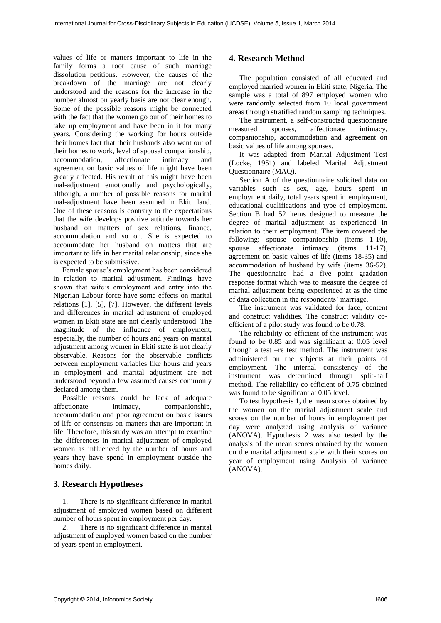values of life or matters important to life in the family forms a root cause of such marriage dissolution petitions. However, the causes of the breakdown of the marriage are not clearly understood and the reasons for the increase in the number almost on yearly basis are not clear enough. Some of the possible reasons might be connected with the fact that the women go out of their homes to take up employment and have been in it for many years. Considering the working for hours outside their homes fact that their husbands also went out of their homes to work, level of spousal companionship, accommodation, affectionate intimacy and agreement on basic values of life might have been greatly affected. His result of this might have been mal-adjustment emotionally and psychologically, although, a number of possible reasons for marital mal-adjustment have been assumed in Ekiti land. One of these reasons is contrary to the expectations that the wife develops positive attitude towards her husband on matters of sex relations, finance, accommodation and so on. She is expected to accommodate her husband on matters that are important to life in her marital relationship, since she is expected to be submissive.

Female spouse's employment has been considered in relation to marital adjustment. Findings have shown that wife's employment and entry into the Nigerian Labour force have some effects on marital relations [1], [5], [7]. However, the different levels and differences in marital adjustment of employed women in Ekiti state are not clearly understood. The magnitude of the influence of employment, especially, the number of hours and years on marital adjustment among women in Ekiti state is not clearly observable. Reasons for the observable conflicts between employment variables like hours and years in employment and marital adjustment are not understood beyond a few assumed causes commonly declared among them.

Possible reasons could be lack of adequate affectionate intimacy, companionship, accommodation and poor agreement on basic issues of life or consensus on matters that are important in life. Therefore, this study was an attempt to examine the differences in marital adjustment of employed women as influenced by the number of hours and years they have spend in employment outside the homes daily.

### **3. Research Hypotheses**

1. There is no significant difference in marital adjustment of employed women based on different number of hours spent in employment per day.

2. There is no significant difference in marital adjustment of employed women based on the number of years spent in employment.

## **4. Research Method**

The population consisted of all educated and employed married women in Ekiti state, Nigeria. The sample was a total of 897 employed women who were randomly selected from 10 local government areas through stratified random sampling techniques.

The instrument, a self-constructed questionnaire measured spouses, affectionate intimacy, companionship, accommodation and agreement on basic values of life among spouses.

It was adapted from Marital Adjustment Test (Locke, 1951) and labeled Marital Adjustment Questionnaire (MAQ).

Section A of the questionnaire solicited data on variables such as sex, age, hours spent in employment daily, total years spent in employment, educational qualifications and type of employment. Section B had 52 items designed to measure the degree of marital adjustment as experienced in relation to their employment. The item covered the following: spouse companionship (items 1-10), spouse affectionate intimacy (items 11-17), agreement on basic values of life (items 18-35) and accommodation of husband by wife (items 36-52). The questionnaire had a five point gradation response format which was to measure the degree of marital adjustment being experienced at as the time of data collection in the respondents' marriage.

The instrument was validated for face, content and construct validities. The construct validity coefficient of a pilot study was found to be 0.78.

The reliability co-efficient of the instrument was found to be 0.85 and was significant at 0.05 level through a test –re test method. The instrument was administered on the subjects at their points of employment. The internal consistency of the instrument was determined through split-half method. The reliability co-efficient of 0.75 obtained was found to be significant at 0.05 level.

To test hypothesis 1, the mean scores obtained by the women on the marital adjustment scale and scores on the number of hours in employment per day were analyzed using analysis of variance (ANOVA). Hypothesis 2 was also tested by the analysis of the mean scores obtained by the women on the marital adjustment scale with their scores on year of employment using Analysis of variance (ANOVA).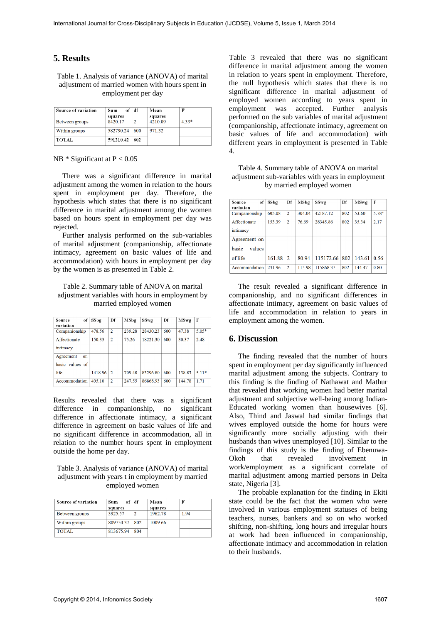# **5. Results**

Table 1. Analysis of variance (ANOVA) of marital adjustment of married women with hours spent in employment per day

| Source of variation | Sum<br>squares | of   df | Mean<br>squares |         |
|---------------------|----------------|---------|-----------------|---------|
| Between groups      | 8420.17        | റ       | 4210.09         | $4.33*$ |
| Within groups       | 582790.24      | 600     | 971.32          |         |
| <b>TOTAL</b>        | 591210.42      | 602     |                 |         |

#### NB  $*$  Significant at  $P < 0.05$

There was a significant difference in marital adjustment among the women in relation to the hours spent in employment per day. Therefore, the hypothesis which states that there is no significant difference in marital adjustment among the women based on hours spent in employment per day was rejected.

Further analysis performed on the sub-variables of marital adjustment (companionship, affectionate intimacy, agreement on basic values of life and accommodation) with hours in employment per day by the women is as presented in Table 2.

### Table 2. Summary table of ANOVA on marital adjustment variables with hours in employment by married employed women

| of<br>Source<br>variation                   | SSbg    | Df             | MSbg   | SSwg     | Df  | MSwg   | F       |
|---------------------------------------------|---------|----------------|--------|----------|-----|--------|---------|
| Companionship                               | 478.56  | $\overline{2}$ | 239.28 | 28430.23 | 600 | 47.38  | $5.05*$ |
| Affectionate<br>intimacy                    | 150.33  | $\overline{2}$ | 75.26  | 18221.30 | 600 | 30.37  | 2.48    |
| Agreement<br>$_{\rm on}$<br>basic values of |         |                |        |          |     |        |         |
| life                                        | 1418.96 | $\mathcal{D}$  | 709.48 | 83296.80 | 600 | 138.83 | $5.11*$ |
| Accommodation                               | 495.10  | $\overline{2}$ | 247.55 | 86868.93 | 600 | 144 78 | 1 71    |

Results revealed that there was a significant difference in companionship, no significant difference in affectionate intimacy, a significant difference in agreement on basic values of life and no significant difference in accommodation, all in relation to the number hours spent in employment outside the home per day.

Table 3. Analysis of variance (ANOVA) of marital adjustment with years t in employment by married employed women

| Source of variation | Sum<br>squares | of   df | Mean<br>squares |      |
|---------------------|----------------|---------|-----------------|------|
| Between groups      | 3925.57        | 2       | 1962.78         | 1.94 |
| Within groups       | 809750.37      | 802     | 1009.66         |      |
| <b>TOTAL</b>        | 813675.94      | 804     |                 |      |

Table 3 revealed that there was no significant difference in marital adjustment among the women in relation to years spent in employment. Therefore, the null hypothesis which states that there is no significant difference in marital adjustment of employed women according to years spent in employment was accepted. Further analysis performed on the sub variables of marital adjustment (companionship, affectionate intimacy, agreement on basic values of life and accommodation) with different years in employment is presented in Table 4.

Table 4. Summary table of ANOVA on marital adjustment sub-variables with years in employment by married employed women

| of<br>Source    | SSbg   | Df             | MSbg   | SSwg      | Df  | MSwg   | F       |
|-----------------|--------|----------------|--------|-----------|-----|--------|---------|
| variation       |        |                |        |           |     |        |         |
| Companionship   | 605.08 | $\overline{2}$ | 304.04 | 42187.12  | 802 | 53.60  | $5.78*$ |
| Affectionate    | 153.39 | $\overline{2}$ | 76.69  | 28345.86  | 802 | 35.34  | 2.17    |
| intimacy        |        |                |        |           |     |        |         |
| Agreement on    |        |                |        |           |     |        |         |
| basic<br>values |        |                |        |           |     |        |         |
| of life         | 161.88 | $\mathfrak{D}$ | 80.94  | 115172.66 | 802 | 143.61 | 0.56    |
| Accommodation   | 231.96 | $\overline{2}$ | 115.98 | 115868.37 | 802 | 144 47 | 0.80    |

The result revealed a significant difference in companionship, and no significant differences in affectionate intimacy, agreement on basic values of life and accommodation in relation to years in employment among the women.

### **6. Discussion**

The finding revealed that the number of hours spent in employment per day significantly influenced marital adjustment among the subjects. Contrary to this finding is the finding of Nathawat and Mathur that revealed that working women had better marital adjustment and subjective well-being among Indian-Educated working women than housewives [6]. Also, Thind and Jaswal had similar findings that wives employed outside the home for hours were significantly more socially adjusting with their husbands than wives unemployed [10]. Similar to the findings of this study is the finding of Ebenuwa-Okoh that revealed involvement in work/employment as a significant correlate of marital adjustment among married persons in Delta state, Nigeria [3].

The probable explanation for the finding in Ekiti state could be the fact that the women who were involved in various employment statuses of being teachers, nurses, bankers and so on who worked shifting, non-shifting, long hours and irregular hours at work had been influenced in companionship, affectionate intimacy and accommodation in relation to their husbands.